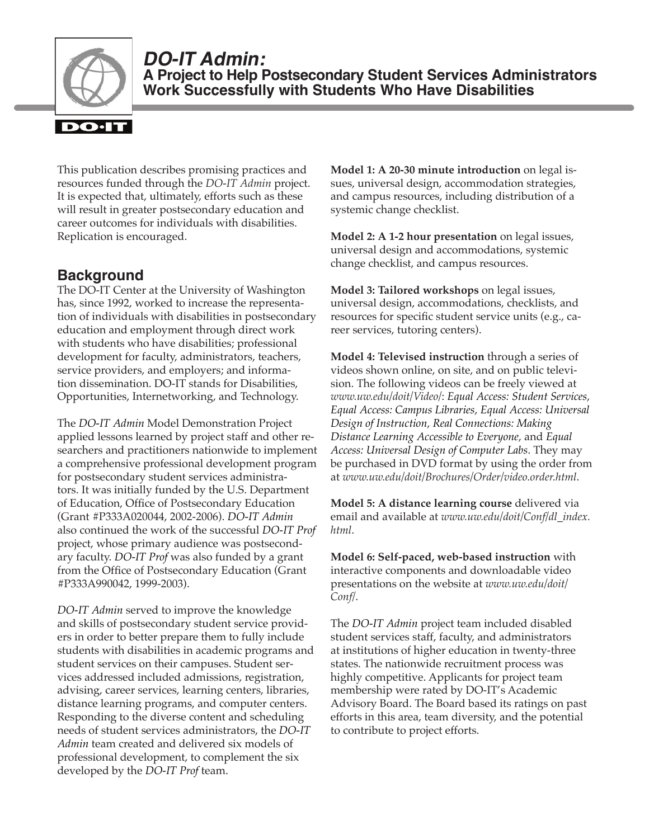

**DO-IT Admin: A Project to Help Postsecondary Student Services Administrators Work Successfully with Students Who Have Disabilities**

This publication describes promising practices and resources funded through the *DO-IT Admin* project. It is expected that, ultimately, efforts such as these will result in greater postsecondary education and career outcomes for individuals with disabilities. Replication is encouraged.

# **Background**

The DO-IT Center at the University of Washington has, since 1992, worked to increase the representation of individuals with disabilities in postsecondary education and employment through direct work with students who have disabilities; professional development for faculty, administrators, teachers, service providers, and employers; and information dissemination. DO‑IT stands for Disabilities, Opportunities, Internetworking, and Technology.

The *DO‑IT Admin* Model Demonstration Project applied lessons learned by project staff and other researchers and practitioners nationwide to implement a comprehensive professional development program for postsecondary student services administrators. It was initially funded by the U.S. Department of Education, Office of Postsecondary Education (Grant #P333A020044, 2002-2006). *DO‑IT Admin* also continued the work of the successful *DO‑IT Prof* project, whose primary audience was postsecondary faculty. *DO‑IT Prof* was also funded by a grant from the Office of Postsecondary Education (Grant #P333A990042, 1999-2003).

*DO‑IT Admin* served to improve the knowledge and skills of postsecondary student service providers in order to better prepare them to fully include students with disabilities in academic programs and student services on their campuses. Student services addressed included admissions, registration, advising, career services, learning centers, libraries, distance learning programs, and computer centers. Responding to the diverse content and scheduling needs of student services administrators, the *DO‑IT Admin* team created and delivered six models of professional development, to complement the six developed by the *DO‑IT Prof* team.

**Model 1: A 20-30 minute introduction** on legal issues, universal design, accommodation strategies, and campus resources, including distribution of a systemic change checklist.

**Model 2: A 1-2 hour presentation** on legal issues, universal design and accommodations, systemic change checklist, and campus resources.

**Model 3: Tailored workshops** on legal issues, universal design, accommodations, checklists, and resources for specific student service units (e.g., career services, tutoring centers).

**Model 4: Televised instruction** through a series of videos shown online, on site, and on public television. The following videos can be freely viewed at *[www.uw.edu/doit/Video/](http://www.washington.edu/doit/Video/)*: *Equal Access: Student Services*, *Equal Access: Campus Libraries*, *Equal Access: Universal Design of Instruction*, *Real Connections: Making Distance Learning Accessible to Everyone*, and *Equal Access: Universal Design of Computer Labs*. They may be purchased in DVD format by using the order from at *[www.uw.edu/doit/Brochures/Order/video.order.html](http://www.washington.edu/doit/Brochures/Order/video.order.html)*.

**Model 5: A distance learning course** delivered via email and available at *[www.uw.edu/doit/Conf/dl\\_index.](http://www.washington.edu/doit/Conf/dl_index.html) [html](http://www.washington.edu/doit/Conf/dl_index.html)*.

**Model 6: Self-paced, web-based instruction** with interactive components and downloadable video presentations on the website at *[www.uw.edu/doit/](http://www.washington.edu/doit/Conf/) [Conf/](http://www.washington.edu/doit/Conf/)*.

The *DO‑IT Admin* project team included disabled student services staff, faculty, and administrators at institutions of higher education in twenty-three states. The nationwide recruitment process was highly competitive. Applicants for project team membership were rated by DO‑IT's Academic Advisory Board. The Board based its ratings on past efforts in this area, team diversity, and the potential to contribute to project efforts.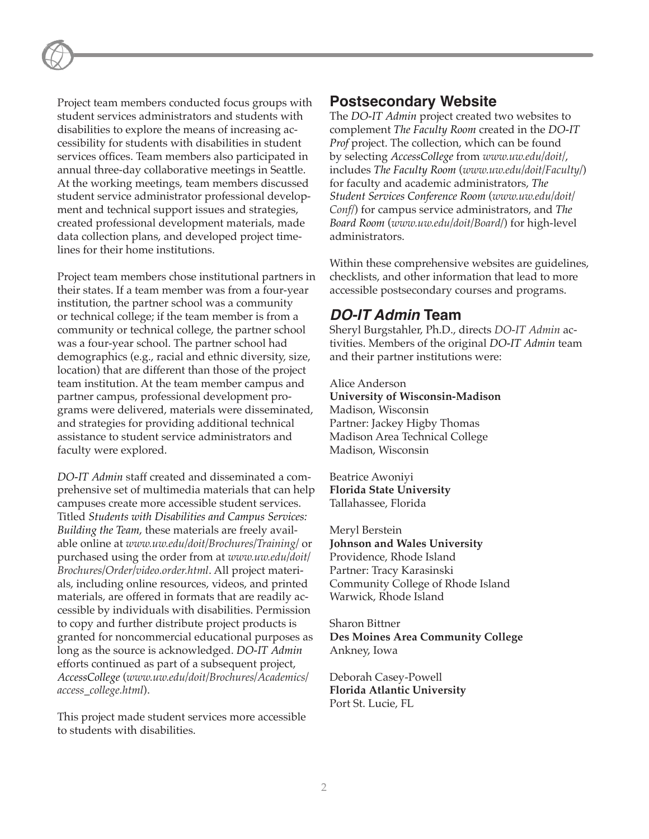Project team members conducted focus groups with student services administrators and students with disabilities to explore the means of increasing accessibility for students with disabilities in student services offices. Team members also participated in annual three-day collaborative meetings in Seattle. At the working meetings, team members discussed student service administrator professional development and technical support issues and strategies, created professional development materials, made data collection plans, and developed project timelines for their home institutions.

Project team members chose institutional partners in their states. If a team member was from a four-year institution, the partner school was a community or technical college; if the team member is from a community or technical college, the partner school was a four-year school. The partner school had demographics (e.g., racial and ethnic diversity, size, location) that are different than those of the project team institution. At the team member campus and partner campus, professional development programs were delivered, materials were disseminated, and strategies for providing additional technical assistance to student service administrators and faculty were explored.

*DO‑IT Admin* staff created and disseminated a comprehensive set of multimedia materials that can help campuses create more accessible student services. Titled *Students with Disabilities and Campus Services: Building the Team*, these materials are freely available online at *[www.uw.edu/doit/Brochures/Training/](http://www.uw.edu/doit/Brochures/Training/)* or purchased using the order from at *[www.uw.edu/doit/](http://www.uw.edu/doit/Brochures/Order/video.order.html) [Brochures/Order/video.order.html](http://www.uw.edu/doit/Brochures/Order/video.order.html)*. All project materials, including online resources, videos, and printed materials, are offered in formats that are readily accessible by individuals with disabilities. Permission to copy and further distribute project products is granted for noncommercial educational purposes as long as the source is acknowledged. *DO‑IT Admin* efforts continued as part of a subsequent project, *AccessCollege* (*[www.uw.edu/doit/Brochures/Academics/](http://www.uw.edu/doit/Brochures/Academics/access_college.html) [access\\_college.html](http://www.uw.edu/doit/Brochures/Academics/access_college.html)*).

This project made student services more accessible to students with disabilities.

## **Postsecondary Website**

The *DO‑IT Admin* project created two websites to complement *The Faculty Room* created in the *DO‑IT Prof* project. The collection, which can be found by selecting *AccessCollege* from *[www.uw.edu/doit/](http://www.uw.edu/doit/)*, includes *The Faculty Room* (*[www.uw.edu/doit/Faculty/](http://www.uw.edu/doit/Faculty/)*) for faculty and academic administrators, *The Student Services Conference Room* (*[www.uw.edu/doit/](http://www.uw.edu/doit/Conf/) [Conf/](http://www.uw.edu/doit/Conf/)*) for campus service administrators, and *The Board Room* (*[www.uw.edu/doit/Board/](http://www.uw.edu/doit/Board/)*) for high-level administrators.

Within these comprehensive websites are guidelines, checklists, and other information that lead to more accessible postsecondary courses and programs.

## **DO‑IT Admin Team**

Sheryl Burgstahler, Ph.D., directs *DO-IT Admin* activities. Members of the original *DO‑IT Admin* team and their partner institutions were:

Alice Anderson **University of Wisconsin-Madison** Madison, Wisconsin Partner: Jackey Higby Thomas Madison Area Technical College Madison, Wisconsin

Beatrice Awoniyi **Florida State University** Tallahassee, Florida

Meryl Berstein **Johnson and Wales University** Providence, Rhode Island Partner: Tracy Karasinski Community College of Rhode Island Warwick, Rhode Island

Sharon Bittner **Des Moines Area Community College** Ankney, Iowa

Deborah Casey-Powell **Florida Atlantic University** Port St. Lucie, FL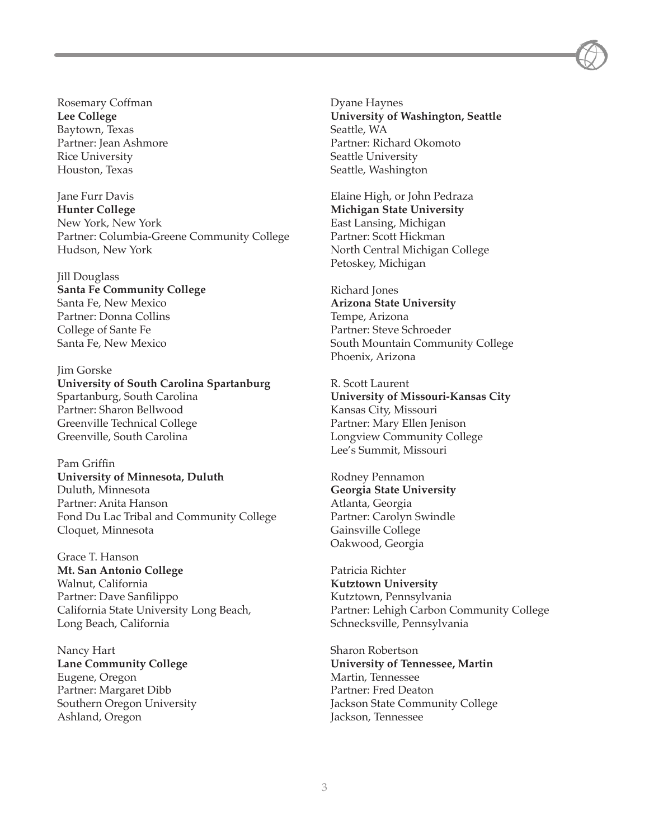Rosemary Coffman **Lee College** Baytown, Texas Partner: Jean Ashmore Rice University Houston, Texas

Jane Furr Davis **Hunter College** New York, New York Partner: Columbia-Greene Community College Hudson, New York

Jill Douglass **Santa Fe Community College** Santa Fe, New Mexico Partner: Donna Collins College of Sante Fe Santa Fe, New Mexico

Jim Gorske **University of South Carolina Spartanburg** Spartanburg, South Carolina Partner: Sharon Bellwood Greenville Technical College Greenville, South Carolina

Pam Griffin **University of Minnesota, Duluth** Duluth, Minnesota Partner: Anita Hanson Fond Du Lac Tribal and Community College Cloquet, Minnesota

Grace T. Hanson **Mt. San Antonio College** Walnut, California Partner: Dave Sanfilippo California State University Long Beach, Long Beach, California

Nancy Hart **Lane Community College** Eugene, Oregon Partner: Margaret Dibb Southern Oregon University Ashland, Oregon

Dyane Haynes **University of Washington, Seattle** Seattle, WA Partner: Richard Okomoto Seattle University Seattle, Washington

Elaine High, or John Pedraza **Michigan State University** East Lansing, Michigan Partner: Scott Hickman North Central Michigan College Petoskey, Michigan

Richard Jones **Arizona State University** Tempe, Arizona Partner: Steve Schroeder South Mountain Community College Phoenix, Arizona

R. Scott Laurent **University of Missouri-Kansas City** Kansas City, Missouri Partner: Mary Ellen Jenison Longview Community College Lee's Summit, Missouri

Rodney Pennamon **Georgia State University** Atlanta, Georgia Partner: Carolyn Swindle Gainsville College Oakwood, Georgia

Patricia Richter **Kutztown University** Kutztown, Pennsylvania Partner: Lehigh Carbon Community College Schnecksville, Pennsylvania

Sharon Robertson **University of Tennessee, Martin** Martin, Tennessee Partner: Fred Deaton Jackson State Community College Jackson, Tennessee